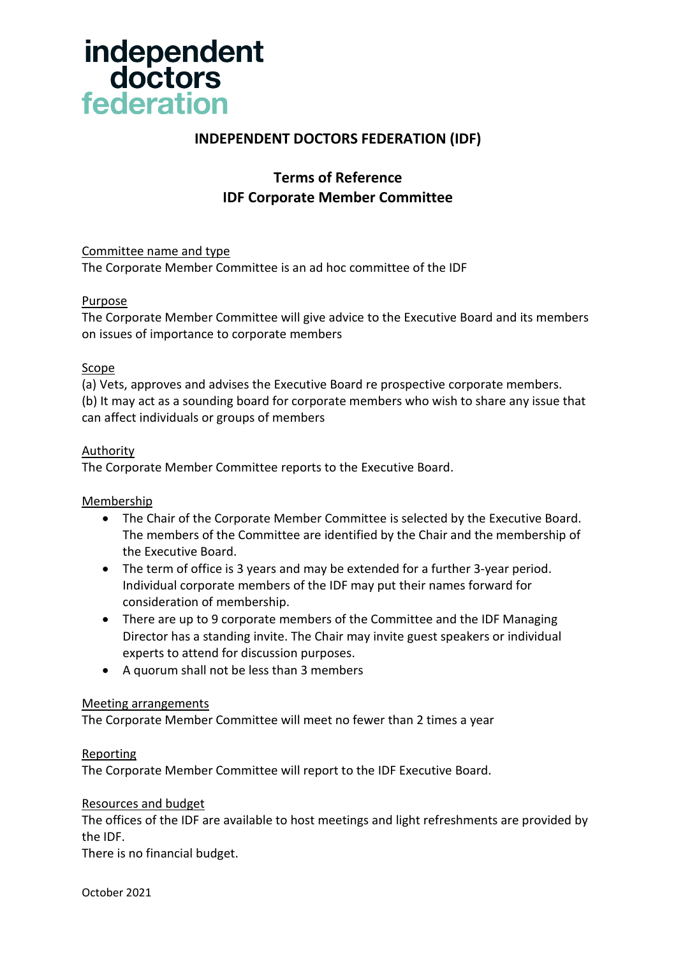

## **INDEPENDENT DOCTORS FEDERATION (IDF)**

# **Terms of Reference IDF Corporate Member Committee**

#### Committee name and type

The Corporate Member Committee is an ad hoc committee of the IDF

### Purpose

The Corporate Member Committee will give advice to the Executive Board and its members on issues of importance to corporate members

#### Scope

(a) Vets, approves and advises the Executive Board re prospective corporate members. (b) It may act as a sounding board for corporate members who wish to share any issue that can affect individuals or groups of members

#### **Authority**

The Corporate Member Committee reports to the Executive Board.

#### Membership

- The Chair of the Corporate Member Committee is selected by the Executive Board. The members of the Committee are identified by the Chair and the membership of the Executive Board.
- The term of office is 3 years and may be extended for a further 3-year period. Individual corporate members of the IDF may put their names forward for consideration of membership.
- There are up to 9 corporate members of the Committee and the IDF Managing Director has a standing invite. The Chair may invite guest speakers or individual experts to attend for discussion purposes.
- A quorum shall not be less than 3 members

#### Meeting arrangements

The Corporate Member Committee will meet no fewer than 2 times a year

#### Reporting

The Corporate Member Committee will report to the IDF Executive Board.

#### Resources and budget

The offices of the IDF are available to host meetings and light refreshments are provided by the IDF.

There is no financial budget.